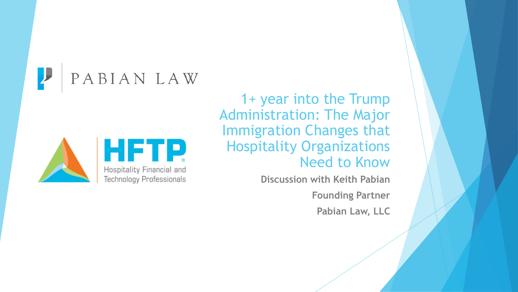PABIAN LAW



1+ year into the Trump Administration: The Major Immigration Changes that Hospitality Organizations Need to Know

> **Discussion with Keith Pabian Founding Partner Pabian Law, LLC**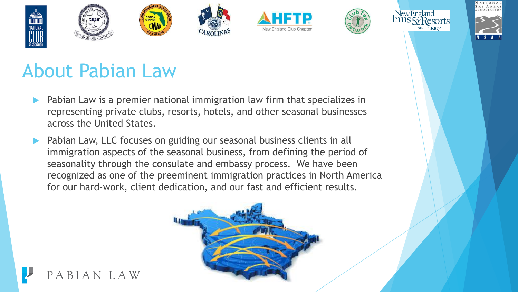









#### About Pabian Law

- Pabian Law is a premier national immigration law firm that specializes in representing private clubs, resorts, hotels, and other seasonal businesses across the United States.
- Pabian Law, LLC focuses on guiding our seasonal business clients in all immigration aspects of the seasonal business, from defining the period of seasonality through the consulate and embassy process. We have been recognized as one of the preeminent immigration practices in North America for our hard-work, client dedication, and our fast and efficient results.



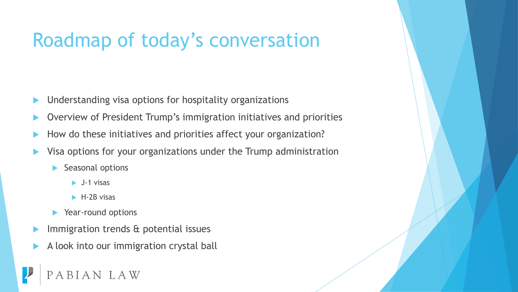#### Roadmap of today's conversation

- Understanding visa options for hospitality organizations
- Overview of President Trump's immigration initiatives and priorities
- How do these initiatives and priorities affect your organization?
- Visa options for your organizations under the Trump administration
	- Seasonal options
		- $\blacktriangleright$  J-1 visas
		- $\blacktriangleright$  H-2B visas
	- ▶ Year-round options
- Immigration trends & potential issues
- A look into our immigration crystal ball

AN LAW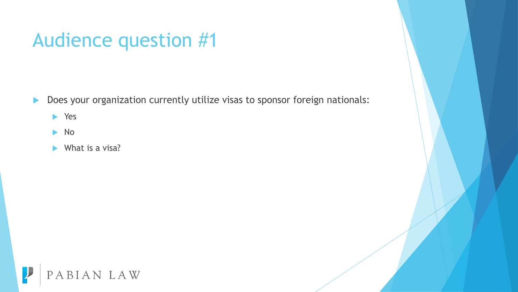#### Audience question #1

Does your organization currently utilize visas to sponsor foreign nationals:

Yes

 $\blacktriangleright$  No

 $\blacktriangleright$  What is a visa?

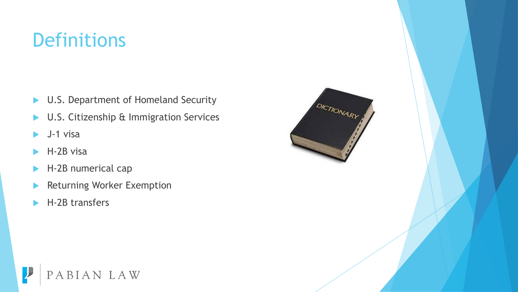#### **Definitions**

- ▶ U.S. Department of Homeland Security
- ▶ U.S. Citizenship & Immigration Services
- $\blacktriangleright$  J-1 visa
- $H-2B$  visa
- H-2B numerical cap
- **Returning Worker Exemption**
- H-2B transfers



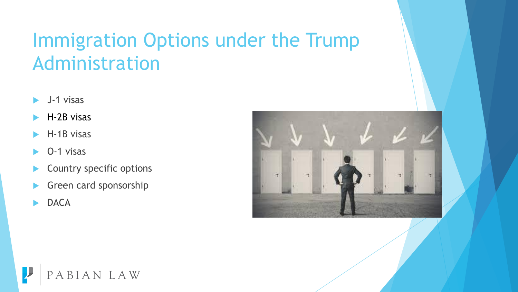#### Immigration Options under the Trump Administration

- J-1 visas
- H-2B visas
- H-1B visas
- O-1 visas
- Country specific options
- Green card sponsorship
- **DACA**



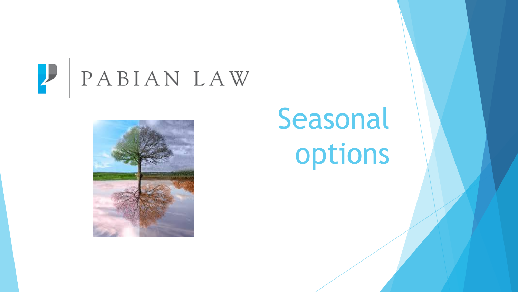



## Seasonal options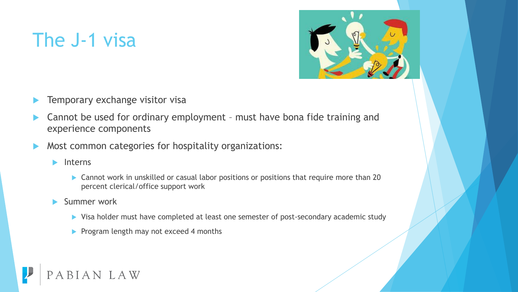#### The J-1 visa



- Temporary exchange visitor visa
- Cannot be used for ordinary employment must have bona fide training and experience components
- Most common categories for hospitality organizations:
	- $\blacktriangleright$  Interns
		- ▶ Cannot work in unskilled or casual labor positions or positions that require more than 20 percent clerical/office support work
	- Summer work
		- ▶ Visa holder must have completed at least one semester of post-secondary academic study
		- Program length may not exceed 4 months

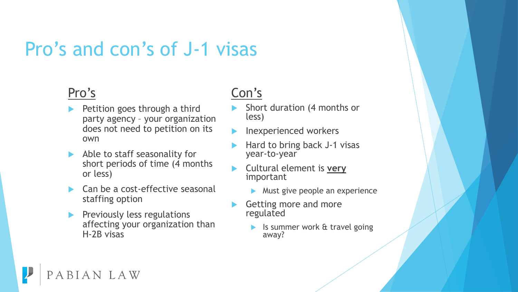#### Pro's and con's of J-1 visas

#### Pro's

- Petition goes through a third party agency – your organization does not need to petition on its own
- Able to staff seasonality for short periods of time (4 months or less)
- Can be a cost-effective seasonal staffing option
- Previously less regulations affecting your organization than H-2B visas

BIAN LAW

#### Con's

- Short duration (4 months or less)
- Inexperienced workers
- Hard to bring back J-1 visas year-to-year
- Cultural element is **very** important
	- **Must give people an experience**
- Getting more and more regulated
	- Is summer work & travel going away?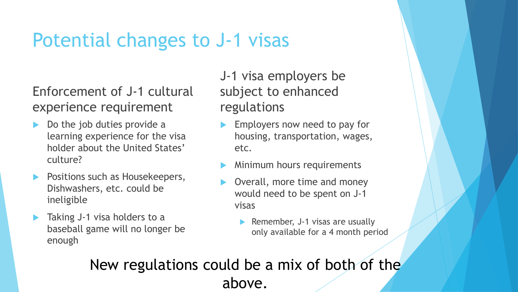#### Potential changes to J-1 visas

#### Enforcement of J-1 cultural experience requirement

- Do the job duties provide a learning experience for the visa holder about the United States' culture?
- **Positions such as Housekeepers,** Dishwashers, etc. could be ineligible
- Taking J-1 visa holders to a baseball game will no longer be enough

J-1 visa employers be subject to enhanced regulations

- Employers now need to pay for housing, transportation, wages, etc.
- Minimum hours requirements
- Overall, more time and money would need to be spent on J-1 visas
	- Remember, J-1 visas are usually only available for a 4 month period

New regulations could be a mix of both of the above.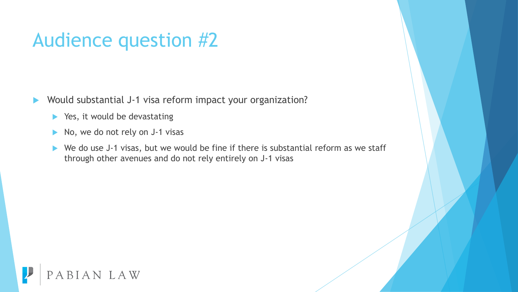#### Audience question #2

- Would substantial J-1 visa reform impact your organization?
	- $\blacktriangleright$  Yes, it would be devastating
	- $\triangleright$  No, we do not rely on J-1 visas
	- ▶ We do use J-1 visas, but we would be fine if there is substantial reform as we staff through other avenues and do not rely entirely on J-1 visas

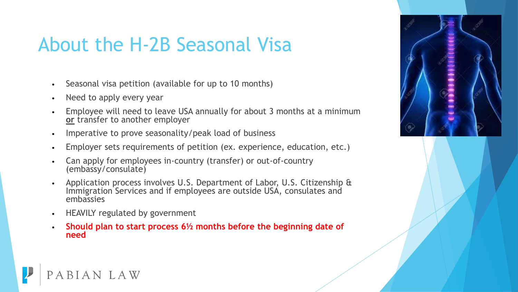#### About the H-2B Seasonal Visa

- Seasonal visa petition (available for up to 10 months)
- Need to apply every year
- Employee will need to leave USA annually for about 3 months at a minimum **or** transfer to another employer
- Imperative to prove seasonality/peak load of business
- Employer sets requirements of petition (ex. experience, education, etc.)
- Can apply for employees in-country (transfer) or out-of-country (embassy/consulate)
- Application process involves U.S. Department of Labor, U.S. Citizenship & Immigration Services and if employees are outside USA, consulates and embassies
- HEAVILY regulated by government

BIAN LAW

• **Should plan to start process 6½ months before the beginning date of need**

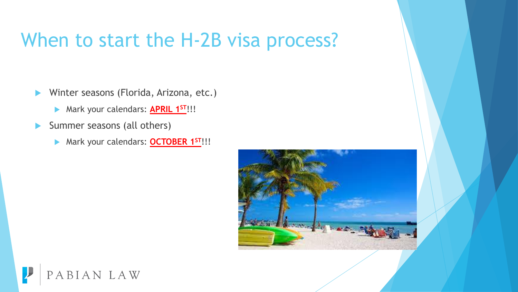#### When to start the H-2B visa process?

Winter seasons (Florida, Arizona, etc.)

- Mark your calendars: **APRIL 1ST**!!!
- Summer seasons (all others)
	- Mark your calendars: **OCTOBER 1ST**!!!



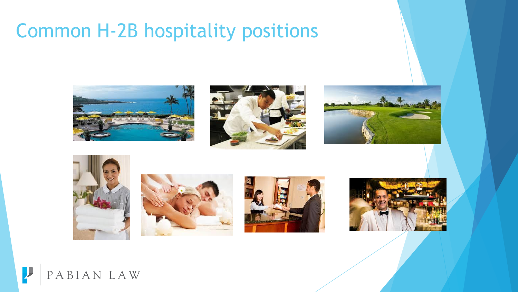#### Common H-2B hospitality positions















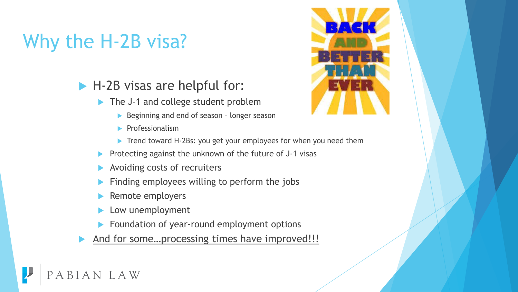### Why the H-2B visa?

#### ▶ H-2B visas are helpful for:

- The J-1 and college student problem
	- Beginning and end of season longer season
	- $\blacktriangleright$  Professionalism
	- Trend toward H-2Bs: you get your employees for when you need them
- Protecting against the unknown of the future of J-1 visas
- Avoiding costs of recruiters
- Finding employees willing to perform the jobs
- Remote employers
- Low unemployment
- Foundation of year-round employment options
- And for some...processing times have improved!!!



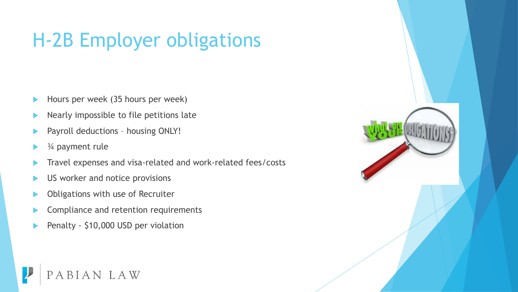### H-2B Employer obligations

- Hours per week (35 hours per week)
- Nearly impossible to file petitions late
- Payroll deductions housing ONLY!
- ¾ payment rule
- Travel expenses and visa-related and work-related fees/costs
- US worker and notice provisions
- Obligations with use of Recruiter
- Compliance and retention requirements
- Penalty \$10,000 USD per violation

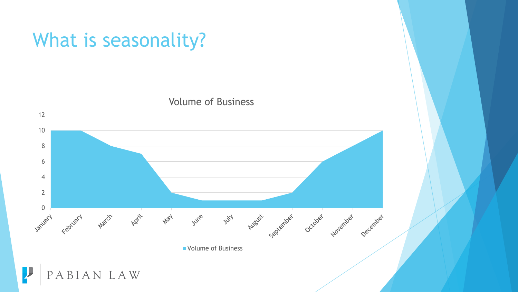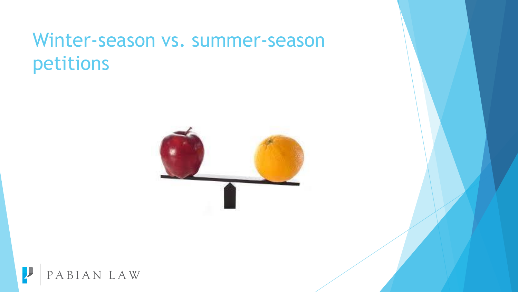#### Winter-season vs. summer-season petitions



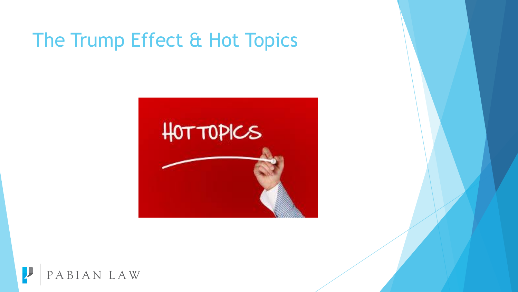#### The Trump Effect & Hot Topics



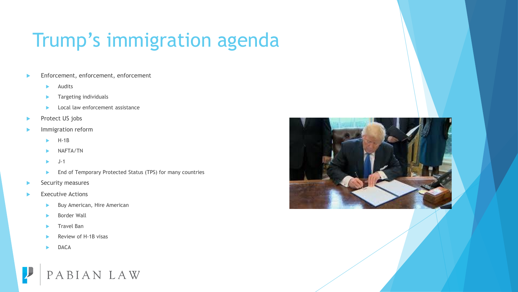### Trump's immigration agenda

- Enforcement, enforcement, enforcement
	- Audits
	- Targeting individuals
	- Local law enforcement assistance
- Protect US jobs
- Immigration reform
	- H-1B
	- NAFTA/TN
	- J-1
	- End of Temporary Protected Status (TPS) for many countries
- Security measures
- Executive Actions
	- Buy American, Hire American
	- Border Wall
	- Travel Ban
	- Review of H-1B visas
	- DACA



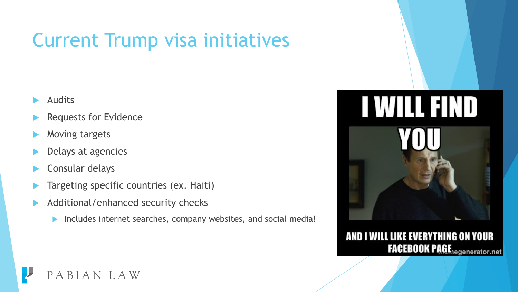### Current Trump visa initiatives

- Audits
- Requests for Evidence
- Moving targets
- Delays at agencies
- Consular delays
- Targeting specific countries (ex. Haiti)
- Additional/enhanced security checks
	- Includes internet searches, company websites, and social media!





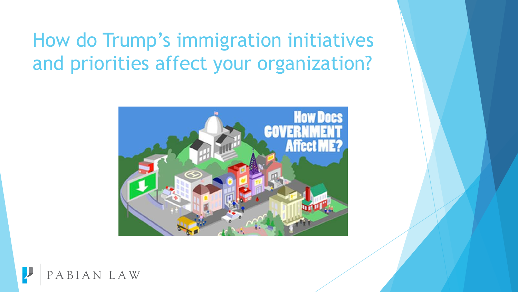#### How do Trump's immigration initiatives and priorities affect your organization?



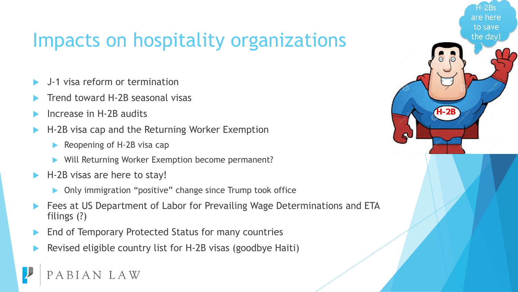#### Impacts on hospitality organizations

are

to save the da

- J-1 visa reform or termination
- Trend toward H-2B seasonal visas
- Increase in H-2B audits
- H-2B visa cap and the Returning Worker Exemption
	- Reopening of H-2B visa cap
	- Will Returning Worker Exemption become permanent?
- H-2B visas are here to stay!
	- **Only immigration "positive" change since Trump took office**
- Fees at US Department of Labor for Prevailing Wage Determinations and ETA filings (?)
- End of Temporary Protected Status for many countries
- Revised eligible country list for H-2B visas (goodbye Haiti)

IAN LAW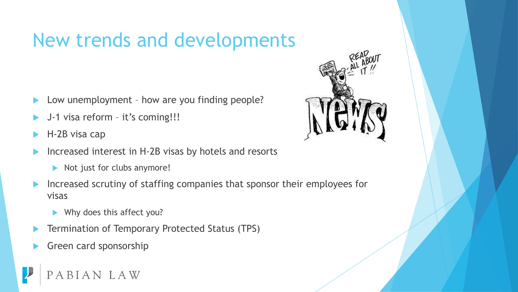#### New trends and developments

- Low unemployment how are you finding people?
- J-1 visa reform it's coming!!!
- H-2B visa cap
- Increased interest in H-2B visas by hotels and resorts
	- Not just for clubs anymore!
- Increased scrutiny of staffing companies that sponsor their employees for visas
	- Why does this affect you?
- Termination of Temporary Protected Status (TPS)
- Green card sponsorship



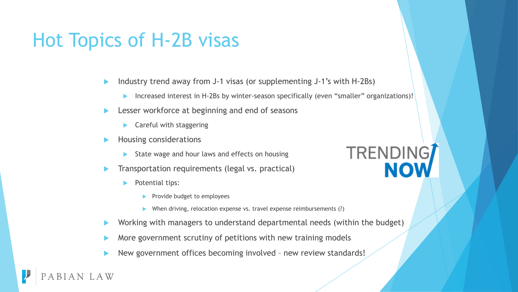#### Hot Topics of H-2B visas

- Industry trend away from J-1 visas (or supplementing J-1's with H-2Bs)
	- Increased interest in H-2Bs by winter-season specifically (even "smaller" organizations)!
- Lesser workforce at beginning and end of seasons
	- Careful with staggering
- Housing considerations
	- State wage and hour laws and effects on housing
- Transportation requirements (legal vs. practical)
	- Potential tips:
		- Provide budget to employees
		- When driving, relocation expense vs. travel expense reimbursements (?)
- Working with managers to understand departmental needs (within the budget)
- More government scrutiny of petitions with new training models
- New government offices becoming involved new review standards!

# TRENDING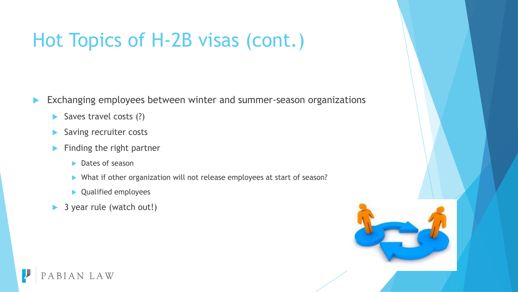#### Hot Topics of H-2B visas (cont.)

- **Exchanging employees between winter and summer-season organizations** 
	- $\triangleright$  Saves travel costs (?)
	- Saving recruiter costs
	- $\blacktriangleright$  Finding the right partner
		- **Dates of season**
		- ▶ What if other organization will not release employees at start of season?
		- ▶ Qualified employees
	- ▶ 3 year rule (watch out!)



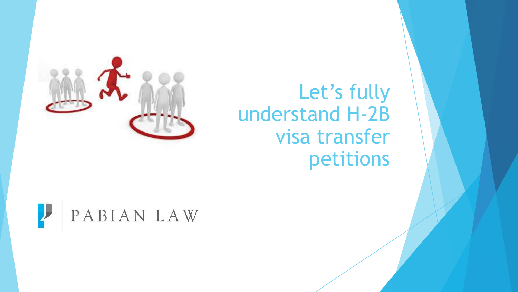

### Let's fully understand H-2B visa transfer petitions

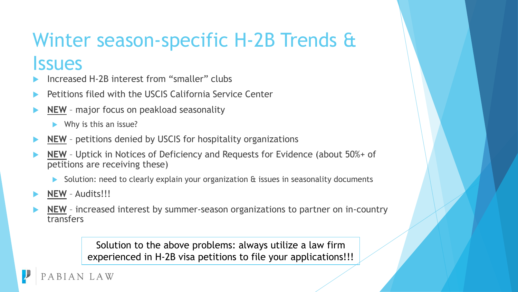#### Winter season-specific H-2B Trends & **Issues**

- Increased H-2B interest from "smaller" clubs
- Petitions filed with the USCIS California Service Center
- **NEW** major focus on peakload seasonality

 $\blacktriangleright$  Why is this an issue?

- **NEW** petitions denied by USCIS for hospitality organizations
- **NEW** Uptick in Notices of Deficiency and Requests for Evidence (about 50%+ of petitions are receiving these)
	- Solution: need to clearly explain your organization & issues in seasonality documents
- **NEW** Audits!!!
- **NEW** increased interest by summer-season organizations to partner on in-country transfers

Solution to the above problems: always utilize a law firm experienced in H-2B visa petitions to file your applications!!!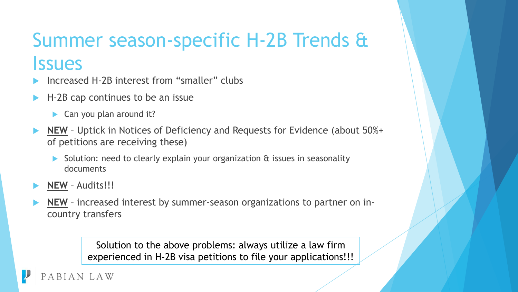## Summer season-specific H-2B Trends & **Issues**

- Increased H-2B interest from "smaller" clubs
- H-2B cap continues to be an issue
	- $\blacktriangleright$  Can you plan around it?
- **NEW** Uptick in Notices of Deficiency and Requests for Evidence (about 50%+ of petitions are receiving these)
	- Solution: need to clearly explain your organization & issues in seasonality documents
- **NEW** Audits!!!
- **NEW** increased interest by summer-season organizations to partner on incountry transfers

Solution to the above problems: always utilize a law firm experienced in H-2B visa petitions to file your applications!!!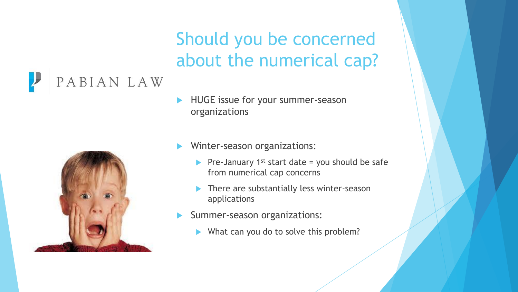#### Should you be concerned about the numerical cap?

#### PABIAN LAW



- HUGE issue for your summer-season organizations
- Winter-season organizations:
	- Pre-January  $1^{st}$  start date = you should be safe from numerical cap concerns
	- There are substantially less winter-season applications
- Summer-season organizations:
	- What can you do to solve this problem?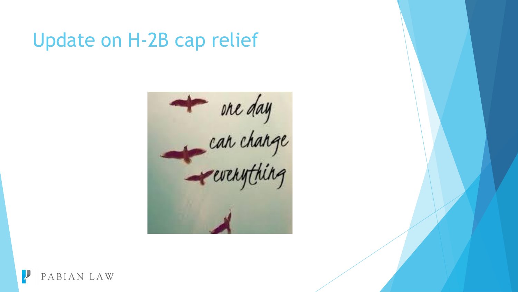#### Update on H-2B cap relief



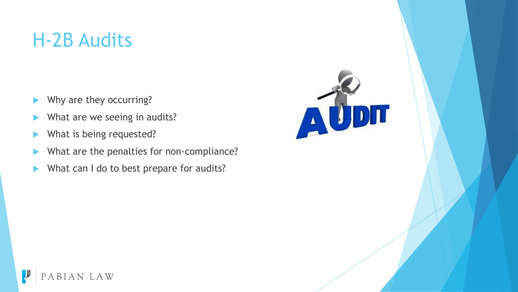#### H-2B Audits

- Why are they occurring?
- What are we seeing in audits?
- What is being requested?
- What are the penalties for non-compliance?
- What can I do to best prepare for audits?

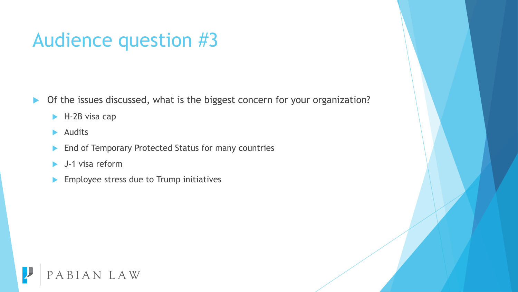#### Audience question #3

- ▶ Of the issues discussed, what is the biggest concern for your organization?
	- ▶ H-2B visa cap
	- $\blacktriangleright$  Audits
	- **End of Temporary Protected Status for many countries**
	- J-1 visa reform
	- **Employee stress due to Trump initiatives**

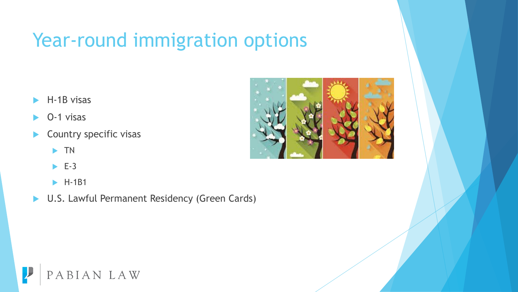#### Year-round immigration options

- H-1B visas
- O-1 visas
- Country specific visas
	- $\blacktriangleright$  TN
	- $\blacktriangleright$  E-3
	- $\blacktriangleright$  H-1B1
- ▶ U.S. Lawful Permanent Residency (Green Cards)



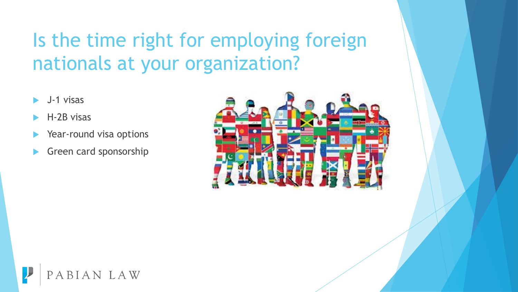### Is the time right for employing foreign nationals at your organization?

- J-1 visas
- H-2B visas
- Year-round visa options
- Green card sponsorship



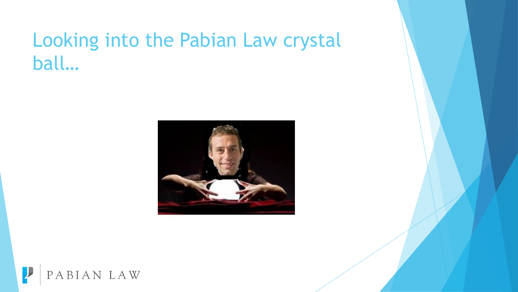#### Looking into the Pabian Law crystal ball…



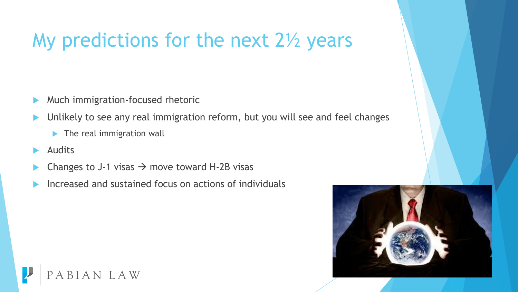#### My predictions for the next 2<sup>1/2</sup> years

- **Much immigration-focused rhetoric**
- Unlikely to see any real immigration reform, but you will see and feel changes
	- **The real immigration wall**
- Audits
- Changes to J-1 visas  $\rightarrow$  move toward H-2B visas
- Increased and sustained focus on actions of individuals